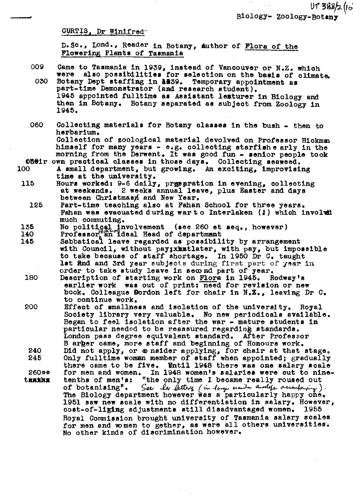## CURTIS, Dr Winifred

D. Sc., Lond., Reader in Botany, author of Flora of the Flowering Plants of Tasmania

- 009 Came to Tasmania in 1939, instead of Vancouver or N.Z. which were also possibilities for selection on the basis of climate. Botany Dept staffing in A239. Temporary appointment as 030 part-time Demonstrator (and research student). 1945 appointed fulltime as Assistant lexturer in Biology and then in Botany. Botany separated as subject from Zoology in 1945.
- 060 Collecting materials for Botany classes in the bush - then to herbarium. Collection of zoological material devolved on Professor Hickman himself for many years - e.g. collecting starfishe arly in the morning from the Derwent. It was good fun - senior people took

OBOir own practical classes in those days. Collecting seaweed. A small department, but growing. An exciting, improvising time at the university.

- 115 Hours worked: 9-6 daily, preparation in evening, collecting at weekends. 2 weeks annual leave, plus Easter and days between Christmasµ and New Year.
	- 125 Part-time teaching also at Fahan School for three years. Fahan was evacuated during war to Interlaken (!) which involud much commuting.
- 135
- 140
- No political involvement (see 260 et seq., however)<br>Professor an ideal Head of department<br>Sabbatical leave regarded as possibility by arrangement 145 with Council, without pay; xhmtlater, with pay, but impossible to take because of staff shortage. In 1950 Dr C. taught 1st and and 3rd year subjects during first part of year in order to take study leave in second part of year.
- 180 Description of starting work on Flora in 1945. Rodway's earlier work was out of print: need for revision or new book. Colleague Dordon left for chair in N.Z., leaving Dr C. to continue work.
- 200 Effect of smallness and isolation of the university. Royal Society library very valuable. No new periodicals available. Began to feel isolation after the war - mature students in particular needed to be reassured regarding standards. London pass degree equivalent standard. After Professor B arger came, more staff and beginning of Honours work. Did not apply, or  $\omega$  nsider applying, for chair at that stage.<br>Only fulltime woman member of staff when appointed; gradually 240 245 there came to be five. Whtil 1948 there was one salary scale for men and women. In 1948 women's salaries were cut to nine-<br>tenths of men's: "the only time I became really roused out 260\*\* tunkha of botanising". See the letters (in large mander envelope accordancy). The Biology department however was a particularly happy one. 1951 saw new scale with no differentiation in salary. However, cost-of-liging adjustments still disadvantaged women. 1955 Royal Commission brought university of Tasmania salary scales for men and women to gether, as were all others universities. No other kinds of discrimination however.

100